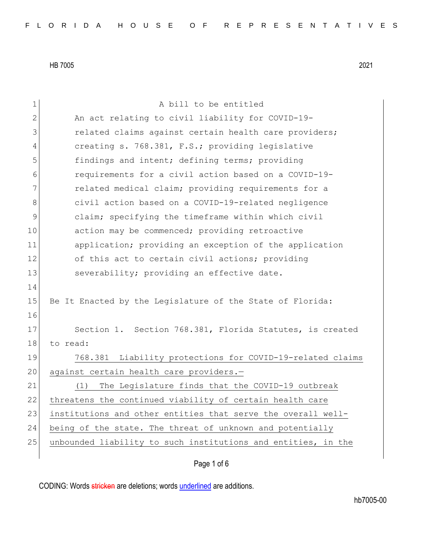| $\mathbf 1$  | A bill to be entitled                                         |
|--------------|---------------------------------------------------------------|
| $\mathbf{2}$ | An act relating to civil liability for COVID-19-              |
| 3            | related claims against certain health care providers;         |
| 4            | creating s. 768.381, F.S.; providing legislative              |
| 5            | findings and intent; defining terms; providing                |
| 6            | requirements for a civil action based on a COVID-19-          |
| 7            | related medical claim; providing requirements for a           |
| $\,8\,$      | civil action based on a COVID-19-related negligence           |
| $\mathsf 9$  | claim; specifying the timeframe within which civil            |
| 10           | action may be commenced; providing retroactive                |
| 11           | application; providing an exception of the application        |
| 12           | of this act to certain civil actions; providing               |
| 13           | severability; providing an effective date.                    |
| 14           |                                                               |
| 15           | Be It Enacted by the Legislature of the State of Florida:     |
| 16           |                                                               |
| 17           | Section 1. Section 768.381, Florida Statutes, is created      |
| 18           | to read:                                                      |
| 19           | Liability protections for COVID-19-related claims<br>768.381  |
| 20           | against certain health care providers.-                       |
| 21           | The Legislature finds that the COVID-19 outbreak<br>(1)       |
| 22           | threatens the continued viability of certain health care      |
| 23           | institutions and other entities that serve the overall well-  |
| 24           | being of the state. The threat of unknown and potentially     |
| 25           | unbounded liability to such institutions and entities, in the |
|              |                                                               |

Page 1 of 6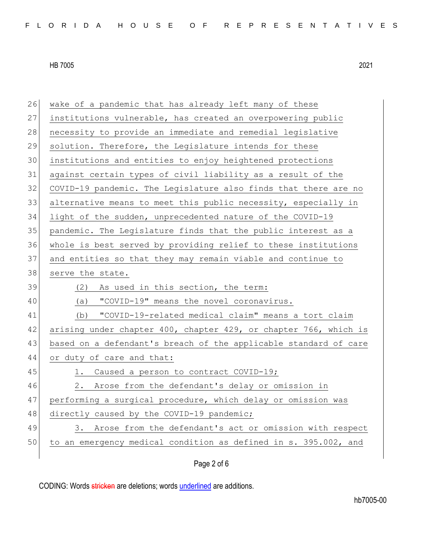| 26 | wake of a pandemic that has already left many of these           |
|----|------------------------------------------------------------------|
| 27 | institutions vulnerable, has created an overpowering public      |
| 28 | necessity to provide an immediate and remedial legislative       |
| 29 | solution. Therefore, the Legislature intends for these           |
| 30 | institutions and entities to enjoy heightened protections        |
| 31 | against certain types of civil liability as a result of the      |
| 32 | COVID-19 pandemic. The Legislature also finds that there are no  |
| 33 | alternative means to meet this public necessity, especially in   |
| 34 | light of the sudden, unprecedented nature of the COVID-19        |
| 35 | pandemic. The Legislature finds that the public interest as a    |
| 36 | whole is best served by providing relief to these institutions   |
| 37 | and entities so that they may remain viable and continue to      |
| 38 | serve the state.                                                 |
|    |                                                                  |
| 39 | (2)<br>As used in this section, the term:                        |
| 40 | "COVID-19" means the novel coronavirus.<br>(a)                   |
| 41 | "COVID-19-related medical claim" means a tort claim<br>(b)       |
| 42 | arising under chapter 400, chapter 429, or chapter 766, which is |
| 43 | based on a defendant's breach of the applicable standard of care |
| 44 | or duty of care and that:                                        |
| 45 | Caused a person to contract COVID-19;<br>1.                      |
| 46 | Arose from the defendant's delay or omission in<br>2.            |
| 47 | performing a surgical procedure, which delay or omission was     |
| 48 | directly caused by the COVID-19 pandemic;                        |
| 49 | Arose from the defendant's act or omission with respect<br>3.    |
| 50 | to an emergency medical condition as defined in s. 395.002, and  |

Page 2 of 6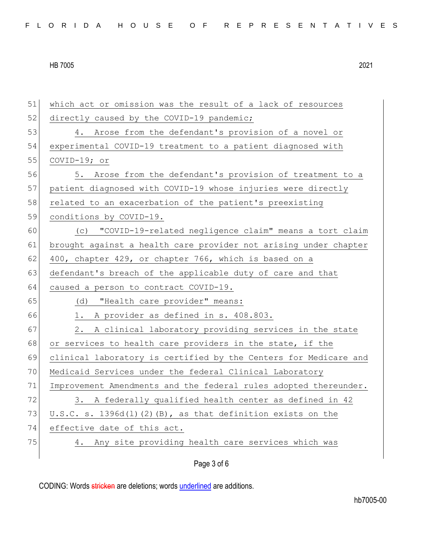| 51 | which act or omission was the result of a lack of resources      |
|----|------------------------------------------------------------------|
| 52 | directly caused by the COVID-19 pandemic;                        |
| 53 | 4. Arose from the defendant's provision of a novel or            |
| 54 | experimental COVID-19 treatment to a patient diagnosed with      |
| 55 | $COVID-19; or$                                                   |
| 56 | 5. Arose from the defendant's provision of treatment to a        |
| 57 | patient diagnosed with COVID-19 whose injuries were directly     |
| 58 | related to an exacerbation of the patient's preexisting          |
| 59 | conditions by COVID-19.                                          |
| 60 | (c) "COVID-19-related negligence claim" means a tort claim       |
| 61 | brought against a health care provider not arising under chapter |
| 62 | 400, chapter 429, or chapter 766, which is based on a            |
| 63 | defendant's breach of the applicable duty of care and that       |
| 64 | caused a person to contract COVID-19.                            |
| 65 | (d) "Health care provider" means:                                |
| 66 | A provider as defined in s. 408.803.<br>1.                       |
| 67 |                                                                  |
|    | A clinical laboratory providing services in the state<br>2.      |
| 68 | or services to health care providers in the state, if the        |
| 69 | clinical laboratory is certified by the Centers for Medicare and |
| 70 | Medicaid Services under the federal Clinical Laboratory          |
| 71 | Improvement Amendments and the federal rules adopted thereunder. |
| 72 | 3. A federally qualified health center as defined in 42          |
| 73 | $U.S.C. s. 1396d(I) (2) (B)$ , as that definition exists on the  |
| 74 | effective date of this act.                                      |
| 75 | 4. Any site providing health care services which was             |

Page 3 of 6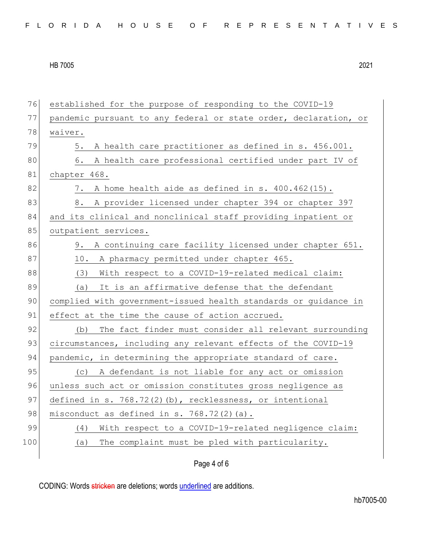| 76  | established for the purpose of responding to the COVID-19        |
|-----|------------------------------------------------------------------|
| 77  | pandemic pursuant to any federal or state order, declaration, or |
| 78  | waiver.                                                          |
| 79  | A health care practitioner as defined in s. 456.001.<br>5.       |
| 80  | A health care professional certified under part IV of<br>6.      |
| 81  | chapter 468.                                                     |
| 82  | A home health aide as defined in s. 400.462(15).<br>7.           |
| 83  | A provider licensed under chapter 394 or chapter 397<br>8.       |
| 84  | and its clinical and nonclinical staff providing inpatient or    |
| 85  | outpatient services.                                             |
| 86  | 9. A continuing care facility licensed under chapter 651.        |
| 87  | 10. A pharmacy permitted under chapter 465.                      |
| 88  | (3) With respect to a COVID-19-related medical claim:            |
| 89  | It is an affirmative defense that the defendant<br>(a)           |
| 90  | complied with government-issued health standards or guidance in  |
| 91  | effect at the time the cause of action accrued.                  |
| 92  | The fact finder must consider all relevant surrounding<br>(b)    |
| 93  | circumstances, including any relevant effects of the COVID-19    |
| 94  | pandemic, in determining the appropriate standard of care.       |
| 95  | A defendant is not liable for any act or omission<br>(C)         |
| 96  | unless such act or omission constitutes gross negligence as      |
| 97  | defined in s. $768.72(2)(b)$ , recklessness, or intentional      |
| 98  | misconduct as defined in $s. 768.72(2)$ (a).                     |
| 99  | With respect to a COVID-19-related negligence claim:<br>(4)      |
| 100 | The complaint must be pled with particularity.<br>(a)            |
|     |                                                                  |

## Page 4 of 6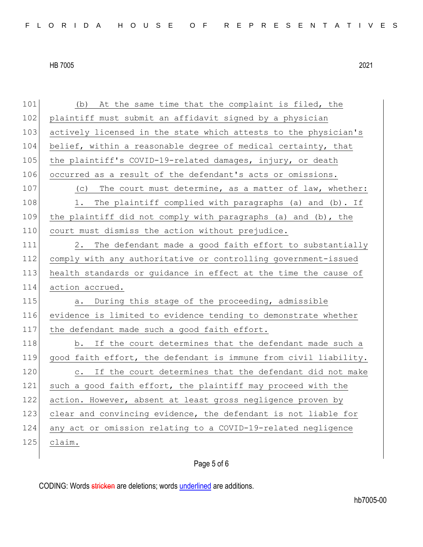101 (b) At the same time that the complaint is filed, the 102 plaintiff must submit an affidavit signed by a physician 103 actively licensed in the state which attests to the physician's 104 belief, within a reasonable degree of medical certainty, that 105 the plaintiff's COVID-19-related damages, injury, or death 106 occurred as a result of the defendant's acts or omissions. 107 (c) The court must determine, as a matter of law, whether: 108 1. The plaintiff complied with paragraphs (a) and (b). If 109 the plaintiff did not comply with paragraphs (a) and (b), the 110 court must dismiss the action without prejudice. 111 2. The defendant made a good faith effort to substantially 112 comply with any authoritative or controlling government-issued 113 health standards or guidance in effect at the time the cause of 114 action accrued. 115 a. During this stage of the proceeding, admissible 116 evidence is limited to evidence tending to demonstrate whether 117 the defendant made such a good faith effort. 118 b. If the court determines that the defendant made such a 119 good faith effort, the defendant is immune from civil liability. 120 c. If the court determines that the defendant did not make 121 such a good faith effort, the plaintiff may proceed with the 122 action. However, absent at least gross negligence proven by 123 clear and convincing evidence, the defendant is not liable for 124 any act or omission relating to a COVID-19-related negligence 125 claim.

## Page 5 of 6